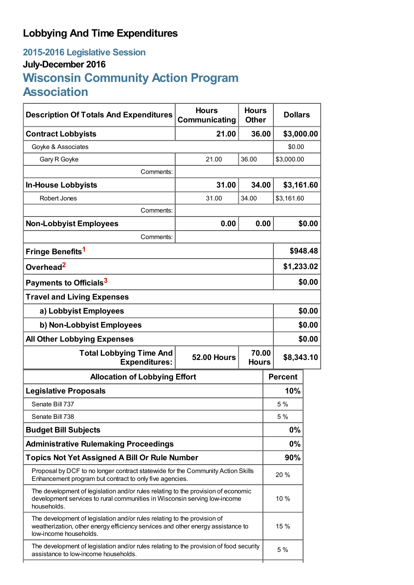## **Lobbying And Time Expenditures**

## **2015-2016 Legislative Session July-December 2016 Wisconsin Community Action Program Association**

| <b>Description Of Totals And Expenditures</b>                                                                                                                                         | <b>Hours</b><br>Communicating               | <b>Hours</b><br><b>Other</b> |       | <b>Dollars</b> |            |  |
|---------------------------------------------------------------------------------------------------------------------------------------------------------------------------------------|---------------------------------------------|------------------------------|-------|----------------|------------|--|
| <b>Contract Lobbyists</b>                                                                                                                                                             | 21.00                                       | 36.00                        |       | \$3,000.00     |            |  |
| Goyke & Associates                                                                                                                                                                    |                                             |                              |       | \$0.00         |            |  |
| Gary R Goyke                                                                                                                                                                          | 21.00                                       | 36.00                        |       | \$3,000.00     |            |  |
| Comments:                                                                                                                                                                             |                                             |                              |       |                |            |  |
| <b>In-House Lobbyists</b>                                                                                                                                                             | 31.00                                       |                              | 34.00 |                | \$3,161.60 |  |
| Robert Jones                                                                                                                                                                          | 31.00                                       | 34.00                        |       | \$3,161.60     |            |  |
| Comments:                                                                                                                                                                             |                                             |                              |       |                |            |  |
| <b>Non-Lobbyist Employees</b>                                                                                                                                                         | 0.00                                        |                              | 0.00  |                | \$0.00     |  |
| Comments:                                                                                                                                                                             |                                             |                              |       |                |            |  |
| Fringe Benefits <sup>1</sup>                                                                                                                                                          |                                             |                              |       | \$948.48       |            |  |
| Overhead <sup>2</sup>                                                                                                                                                                 |                                             |                              |       | \$1,233.02     |            |  |
| Payments to Officials <sup>3</sup>                                                                                                                                                    |                                             |                              |       |                | \$0.00     |  |
| <b>Travel and Living Expenses</b>                                                                                                                                                     |                                             |                              |       |                |            |  |
| a) Lobbyist Employees                                                                                                                                                                 |                                             |                              |       | \$0.00         |            |  |
| b) Non-Lobbyist Employees                                                                                                                                                             |                                             |                              |       | \$0.00         |            |  |
| <b>All Other Lobbying Expenses</b>                                                                                                                                                    |                                             |                              |       | \$0.00         |            |  |
| <b>Total Lobbying Time And</b><br><b>Expenditures:</b>                                                                                                                                | 70.00<br><b>52.00 Hours</b><br><b>Hours</b> |                              |       | \$8,343.10     |            |  |
| <b>Allocation of Lobbying Effort</b>                                                                                                                                                  |                                             |                              |       | <b>Percent</b> |            |  |
| <b>Legislative Proposals</b>                                                                                                                                                          |                                             |                              |       | 10%            |            |  |
| Senate Bill 737                                                                                                                                                                       |                                             |                              |       | 5 %            |            |  |
| Senate Bill 738                                                                                                                                                                       |                                             |                              |       | 5 %            |            |  |
| <b>Budget Bill Subjects</b>                                                                                                                                                           |                                             |                              |       | 0%             |            |  |
| <b>Administrative Rulemaking Proceedings</b>                                                                                                                                          |                                             |                              |       | $0\%$          |            |  |
| <b>Topics Not Yet Assigned A Bill Or Rule Number</b>                                                                                                                                  |                                             |                              |       | 90%            |            |  |
| Proposal by DCF to no longer contract statewide for the Community Action Skills<br>Enhancement program but contract to only five agencies.                                            |                                             |                              |       | 20 %           |            |  |
| The development of legislation and/or rules relating to the provision of economic<br>development services to rural communities in Wisconsin serving low-income<br>households.         |                                             |                              |       | 10 %           |            |  |
| The development of legislation and/or rules relating to the provision of<br>weatherization, other energy efficiency services and other energy assistance to<br>low-income households. |                                             |                              |       | 15 %           |            |  |
| The development of legislation and/or rules relating to the provision of food security<br>assistance to low-income households.                                                        |                                             |                              |       | 5 %            |            |  |